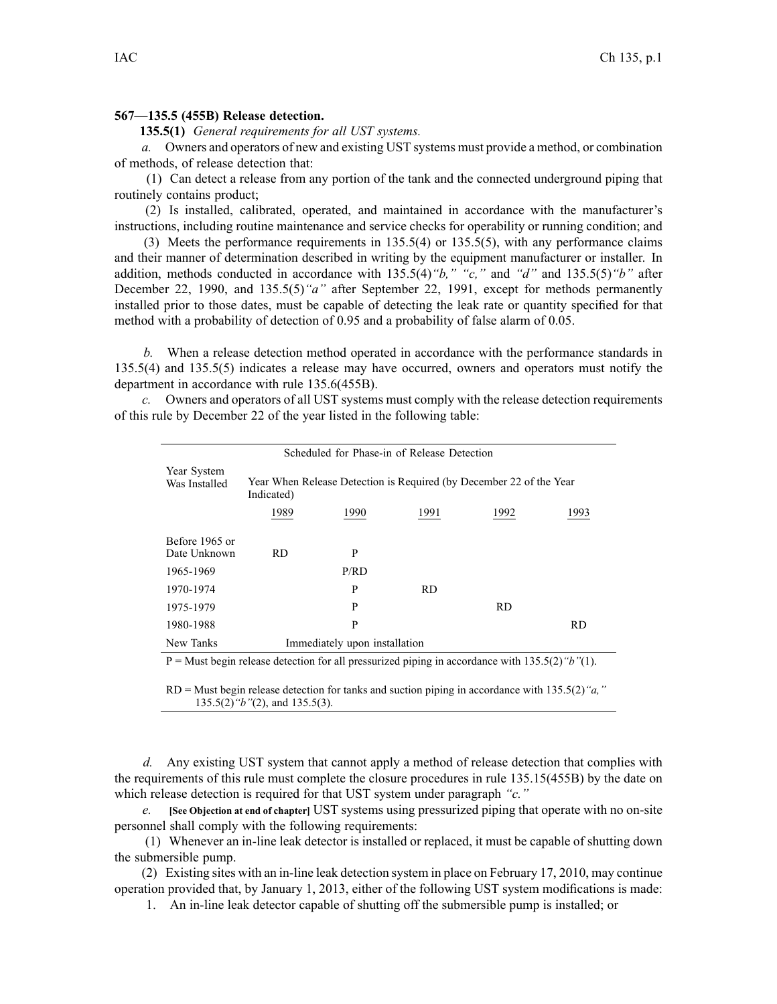## **567—135.5 (455B) Release detection.**

**135.5(1)** *General requirements for all UST systems.*

*a.* Owners and operators of new and existing UST systems must provide <sup>a</sup> method, or combination of methods, of release detection that:

(1) Can detect <sup>a</sup> release from any portion of the tank and the connected underground piping that routinely contains product;

(2) Is installed, calibrated, operated, and maintained in accordance with the manufacturer's instructions, including routine maintenance and service checks for operability or running condition; and

(3) Meets the performance requirements in 135.5(4) or 135.5(5), with any performance claims and their manner of determination described in writing by the equipment manufacturer or installer. In addition, methods conducted in accordance with 135.5(4)*"b," "c,"* and *"d"* and 135.5(5)*"b"* after December 22, 1990, and 135.5(5)*"a"* after September 22, 1991, excep<sup>t</sup> for methods permanently installed prior to those dates, must be capable of detecting the leak rate or quantity specified for that method with <sup>a</sup> probability of detection of 0.95 and <sup>a</sup> probability of false alarm of 0.05.

*b.* When <sup>a</sup> release detection method operated in accordance with the performance standards in 135.5(4) and 135.5(5) indicates <sup>a</sup> release may have occurred, owners and operators must notify the department in accordance with rule 135.6(455B).

*c.* Owners and operators of all UST systems must comply with the release detection requirements of this rule by December 22 of the year listed in the following table:

| Scheduled for Phase-in of Release Detection                                                                                                                                                                                                                                                                                                                                                                                                                    |                                                                                   |      |      |      |           |  |
|----------------------------------------------------------------------------------------------------------------------------------------------------------------------------------------------------------------------------------------------------------------------------------------------------------------------------------------------------------------------------------------------------------------------------------------------------------------|-----------------------------------------------------------------------------------|------|------|------|-----------|--|
| Year System<br>Was Installed                                                                                                                                                                                                                                                                                                                                                                                                                                   | Year When Release Detection is Required (by December 22 of the Year<br>Indicated) |      |      |      |           |  |
|                                                                                                                                                                                                                                                                                                                                                                                                                                                                | 1989                                                                              | 1990 | 1991 | 1992 | 1993      |  |
| Before 1965 or<br>Date Unknown                                                                                                                                                                                                                                                                                                                                                                                                                                 | RD.                                                                               | P    |      |      |           |  |
| 1965-1969                                                                                                                                                                                                                                                                                                                                                                                                                                                      |                                                                                   | P/RD |      |      |           |  |
| 1970-1974                                                                                                                                                                                                                                                                                                                                                                                                                                                      |                                                                                   | P    | RD.  |      |           |  |
| 1975-1979                                                                                                                                                                                                                                                                                                                                                                                                                                                      |                                                                                   | P    |      | RD.  |           |  |
| 1980-1988                                                                                                                                                                                                                                                                                                                                                                                                                                                      |                                                                                   | P    |      |      | <b>RD</b> |  |
| New Tanks                                                                                                                                                                                                                                                                                                                                                                                                                                                      | Immediately upon installation                                                     |      |      |      |           |  |
| $\mathbf{D} = \mathbf{M} + \mathbf{M} + \mathbf{M} + \mathbf{M} + \mathbf{M} + \mathbf{M} + \mathbf{M} + \mathbf{M} + \mathbf{M} + \mathbf{M} + \mathbf{M} + \mathbf{M} + \mathbf{M} + \mathbf{M} + \mathbf{M} + \mathbf{M} + \mathbf{M} + \mathbf{M} + \mathbf{M} + \mathbf{M} + \mathbf{M} + \mathbf{M} + \mathbf{M} + \mathbf{M} + \mathbf{M} + \mathbf{M} + \mathbf{M} + \mathbf{M} + \mathbf{M} + \mathbf{M} + \mathbf$<br>$1.1 - 1.2F = (0.1)(1.1)(1.1)$ |                                                                                   |      |      |      |           |  |

P <sup>=</sup> Must begin release detection for all pressurized piping in accordance with 135.5(2)*"b"*(1).

RD <sup>=</sup> Must begin release detection for tanks and suction piping in accordance with 135.5(2)*"a,"* 135.5(2)*"b"*(2), and 135.5(3).

*d.* Any existing UST system that cannot apply <sup>a</sup> method of release detection that complies with the requirements of this rule must complete the closure procedures in rule 135.15(455B) by the date on which release detection is required for that UST system under paragraph *"c."*

*e.* **[See Objection at end of chapter]** UST systems using pressurized piping that operate with no on-site personnel shall comply with the following requirements:

(1) Whenever an in-line leak detector is installed or replaced, it must be capable of shutting down the submersible pump.

(2) Existing sites with an in-line leak detection system in place on February 17, 2010, may continue operation provided that, by January 1, 2013, either of the following UST system modifications is made:

1. An in-line leak detector capable of shutting off the submersible pump is installed; or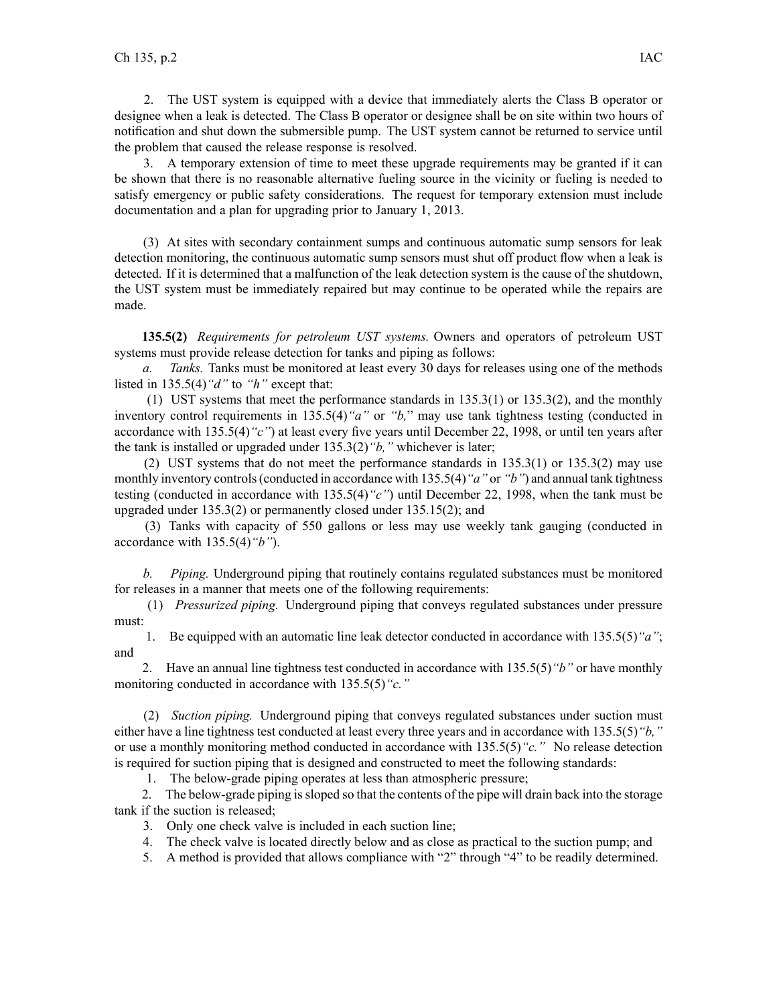2. The UST system is equipped with <sup>a</sup> device that immediately alerts the Class B operator or designee when <sup>a</sup> leak is detected. The Class B operator or designee shall be on site within two hours of notification and shut down the submersible pump. The UST system cannot be returned to service until the problem that caused the release response is resolved.

3. A temporary extension of time to meet these upgrade requirements may be granted if it can be shown that there is no reasonable alternative fueling source in the vicinity or fueling is needed to satisfy emergency or public safety considerations. The reques<sup>t</sup> for temporary extension must include documentation and <sup>a</sup> plan for upgrading prior to January 1, 2013.

(3) At sites with secondary containment sumps and continuous automatic sump sensors for leak detection monitoring, the continuous automatic sump sensors must shut off product flow when <sup>a</sup> leak is detected. If it is determined that <sup>a</sup> malfunction of the leak detection system is the cause of the shutdown, the UST system must be immediately repaired but may continue to be operated while the repairs are made.

**135.5(2)** *Requirements for petroleum UST systems.* Owners and operators of petroleum UST systems must provide release detection for tanks and piping as follows:

*a. Tanks.* Tanks must be monitored at least every 30 days for releases using one of the methods listed in 135.5(4)*"d"* to *"h"* excep<sup>t</sup> that:

(1) UST systems that meet the performance standards in 135.3(1) or 135.3(2), and the monthly inventory control requirements in 135.5(4)*"a"* or *"b,*" may use tank tightness testing (conducted in accordance with 135.5(4)*"c"*) at least every five years until December 22, 1998, or until ten years after the tank is installed or upgraded under 135.3(2)*"b,"* whichever is later;

(2) UST systems that do not meet the performance standards in 135.3(1) or 135.3(2) may use monthly inventory controls (conducted in accordance with 135.5(4) "*a*" or "*b*") and annual tank tightness testing (conducted in accordance with 135.5(4)*"c"*) until December 22, 1998, when the tank must be upgraded under 135.3(2) or permanently closed under 135.15(2); and

(3) Tanks with capacity of 550 gallons or less may use weekly tank gauging (conducted in accordance with 135.5(4)*"b"*).

*b. Piping.* Underground piping that routinely contains regulated substances must be monitored for releases in <sup>a</sup> manner that meets one of the following requirements:

(1) *Pressurized piping.* Underground piping that conveys regulated substances under pressure must:

1. Be equipped with an automatic line leak detector conducted in accordance with 135.5(5)*"a"*; and

2. Have an annual line tightness test conducted in accordance with 135.5(5)*"b"* or have monthly monitoring conducted in accordance with 135.5(5)*"c."*

(2) *Suction piping.* Underground piping that conveys regulated substances under suction must either have <sup>a</sup> line tightness test conducted at least every three years and in accordance with 135.5(5)*"b,"* or use <sup>a</sup> monthly monitoring method conducted in accordance with 135.5(5)*"c."* No release detection is required for suction piping that is designed and constructed to meet the following standards:

1. The below-grade piping operates at less than atmospheric pressure;

2. The below-grade piping issloped so that the contents of the pipe will drain back into the storage tank if the suction is released;

3. Only one check valve is included in each suction line;

4. The check valve is located directly below and as close as practical to the suction pump; and

5. A method is provided that allows compliance with "2" through "4" to be readily determined.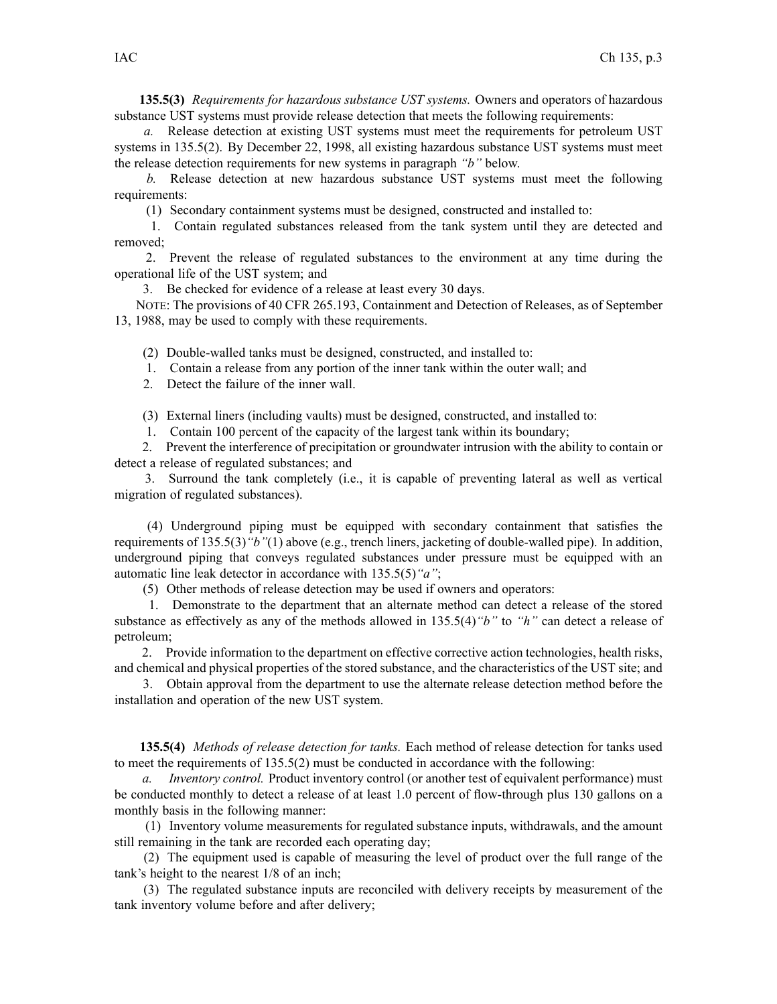**135.5(3)** *Requirements for hazardous substance UST systems.* Owners and operators of hazardous substance UST systems must provide release detection that meets the following requirements:

*a.* Release detection at existing UST systems must meet the requirements for petroleum UST systems in 135.5(2). By December 22, 1998, all existing hazardous substance UST systems must meet the release detection requirements for new systems in paragraph *"b"* below.

*b.* Release detection at new hazardous substance UST systems must meet the following requirements:

(1) Secondary containment systems must be designed, constructed and installed to:

1. Contain regulated substances released from the tank system until they are detected and removed;

2. Prevent the release of regulated substances to the environment at any time during the operational life of the UST system; and

3. Be checked for evidence of <sup>a</sup> release at least every 30 days.

NOTE: The provisions of 40 CFR 265.193, Containment and Detection of Releases, as of September 13, 1988, may be used to comply with these requirements.

(2) Double-walled tanks must be designed, constructed, and installed to:

1. Contain <sup>a</sup> release from any portion of the inner tank within the outer wall; and

2. Detect the failure of the inner wall.

(3) External liners (including vaults) must be designed, constructed, and installed to:

1. Contain 100 percen<sup>t</sup> of the capacity of the largest tank within its boundary;

2. Prevent the interference of precipitation or groundwater intrusion with the ability to contain or detect <sup>a</sup> release of regulated substances; and

3. Surround the tank completely (i.e., it is capable of preventing lateral as well as vertical migration of regulated substances).

(4) Underground piping must be equipped with secondary containment that satisfies the requirements of 135.5(3)*"b"*(1) above (e.g., trench liners, jacketing of double-walled pipe). In addition, underground piping that conveys regulated substances under pressure must be equipped with an automatic line leak detector in accordance with 135.5(5)*"a"*;

(5) Other methods of release detection may be used if owners and operators:

1. Demonstrate to the department that an alternate method can detect <sup>a</sup> release of the stored substance as effectively as any of the methods allowed in 135.5(4)*"b"* to *"h"* can detect <sup>a</sup> release of petroleum;

2. Provide information to the department on effective corrective action technologies, health risks, and chemical and physical properties of the stored substance, and the characteristics of the UST site; and

3. Obtain approval from the department to use the alternate release detection method before the installation and operation of the new UST system.

**135.5(4)** *Methods of release detection for tanks.* Each method of release detection for tanks used to meet the requirements of  $135.5(2)$  must be conducted in accordance with the following:

*a. Inventory control.* Product inventory control (or another test of equivalent performance) must be conducted monthly to detect <sup>a</sup> release of at least 1.0 percen<sup>t</sup> of flow-through plus 130 gallons on <sup>a</sup> monthly basis in the following manner:

(1) Inventory volume measurements for regulated substance inputs, withdrawals, and the amount still remaining in the tank are recorded each operating day;

(2) The equipment used is capable of measuring the level of product over the full range of the tank's height to the nearest 1/8 of an inch;

(3) The regulated substance inputs are reconciled with delivery receipts by measurement of the tank inventory volume before and after delivery;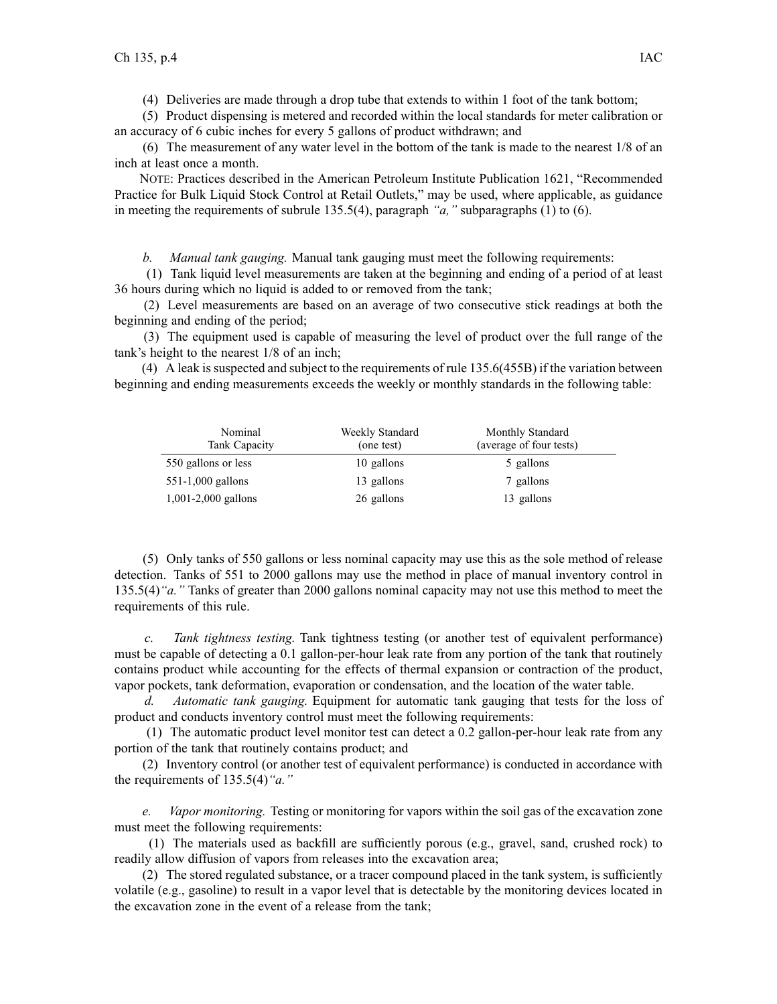(4) Deliveries are made through <sup>a</sup> drop tube that extends to within 1 foot of the tank bottom;

(5) Product dispensing is metered and recorded within the local standards for meter calibration or an accuracy of 6 cubic inches for every 5 gallons of product withdrawn; and

(6) The measurement of any water level in the bottom of the tank is made to the nearest 1/8 of an inch at least once <sup>a</sup> month.

NOTE: Practices described in the American Petroleum Institute Publication 1621, "Recommended Practice for Bulk Liquid Stock Control at Retail Outlets," may be used, where applicable, as guidance in meeting the requirements of subrule 135.5(4), paragraph *"a,"* subparagraphs (1) to (6).

*b. Manual tank gauging.* Manual tank gauging must meet the following requirements:

(1) Tank liquid level measurements are taken at the beginning and ending of <sup>a</sup> period of at least 36 hours during which no liquid is added to or removed from the tank;

(2) Level measurements are based on an average of two consecutive stick readings at both the beginning and ending of the period;

(3) The equipment used is capable of measuring the level of product over the full range of the tank's height to the nearest 1/8 of an inch;

(4) A leak issuspected and subject to the requirements of rule 135.6(455B) if the variation between beginning and ending measurements exceeds the weekly or monthly standards in the following table:

| Nominal<br>Tank Capacity | Weekly Standard<br>(one test) | Monthly Standard<br>(average of four tests) |
|--------------------------|-------------------------------|---------------------------------------------|
| 550 gallons or less      | 10 gallons                    | 5 gallons                                   |
| $551-1,000$ gallons      | 13 gallons                    | 7 gallons                                   |
| $1,001-2,000$ gallons    | 26 gallons                    | 13 gallons                                  |

(5) Only tanks of 550 gallons or less nominal capacity may use this as the sole method of release detection. Tanks of 551 to 2000 gallons may use the method in place of manual inventory control in 135.5(4)*"a."* Tanks of greater than 2000 gallons nominal capacity may not use this method to meet the requirements of this rule.

*c. Tank tightness testing.* Tank tightness testing (or another test of equivalent performance) must be capable of detecting <sup>a</sup> 0.1 gallon-per-hour leak rate from any portion of the tank that routinely contains product while accounting for the effects of thermal expansion or contraction of the product, vapor pockets, tank deformation, evaporation or condensation, and the location of the water table.

*d. Automatic tank gauging.* Equipment for automatic tank gauging that tests for the loss of product and conducts inventory control must meet the following requirements:

(1) The automatic product level monitor test can detect <sup>a</sup> 0.2 gallon-per-hour leak rate from any portion of the tank that routinely contains product; and

(2) Inventory control (or another test of equivalent performance) is conducted in accordance with the requirements of 135.5(4)*"a."*

*e. Vapor monitoring.* Testing or monitoring for vapors within the soil gas of the excavation zone must meet the following requirements:

(1) The materials used as backfill are sufficiently porous (e.g., gravel, sand, crushed rock) to readily allow diffusion of vapors from releases into the excavation area;

(2) The stored regulated substance, or <sup>a</sup> tracer compound placed in the tank system, is sufficiently volatile (e.g., gasoline) to result in <sup>a</sup> vapor level that is detectable by the monitoring devices located in the excavation zone in the event of <sup>a</sup> release from the tank;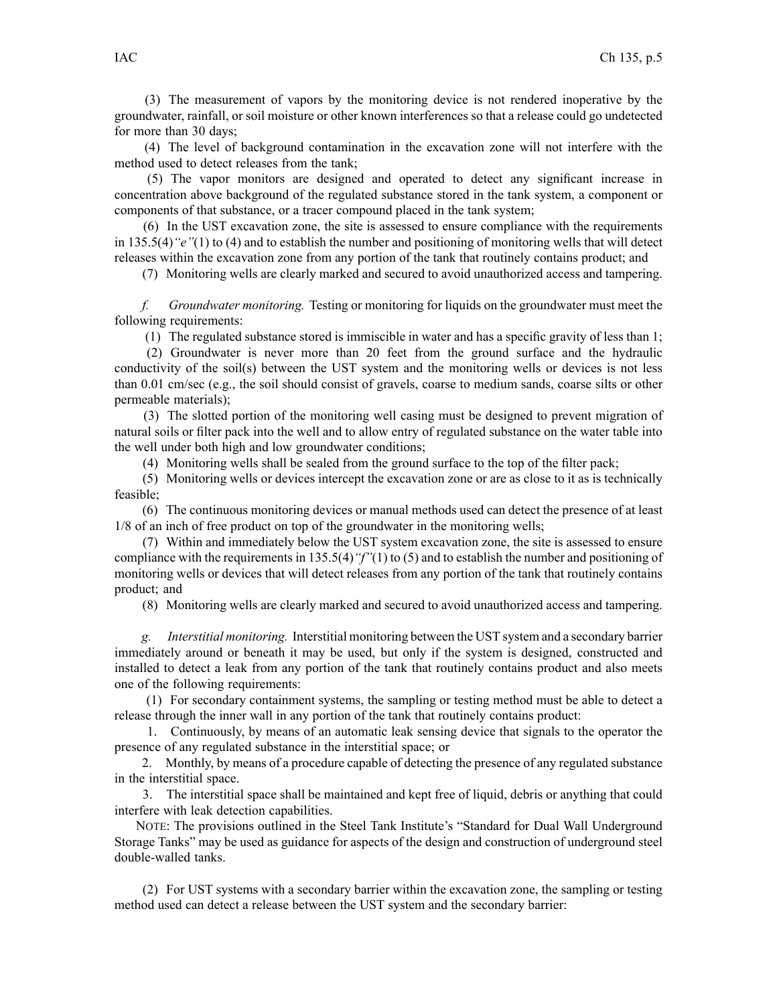(3) The measurement of vapors by the monitoring device is not rendered inoperative by the groundwater, rainfall, or soil moisture or other known interferences so that <sup>a</sup> release could go undetected for more than 30 days;

(4) The level of background contamination in the excavation zone will not interfere with the method used to detect releases from the tank;

(5) The vapor monitors are designed and operated to detect any significant increase in concentration above background of the regulated substance stored in the tank system, <sup>a</sup> componen<sup>t</sup> or components of that substance, or <sup>a</sup> tracer compound placed in the tank system;

(6) In the UST excavation zone, the site is assessed to ensure compliance with the requirements in 135.5(4)*"e"*(1) to (4) and to establish the number and positioning of monitoring wells that will detect releases within the excavation zone from any portion of the tank that routinely contains product; and

(7) Monitoring wells are clearly marked and secured to avoid unauthorized access and tampering.

*f. Groundwater monitoring.* Testing or monitoring for liquids on the groundwater must meet the following requirements:

(1) The regulated substance stored is immiscible in water and has <sup>a</sup> specific gravity of less than 1;

(2) Groundwater is never more than 20 feet from the ground surface and the hydraulic conductivity of the soil(s) between the UST system and the monitoring wells or devices is not less than 0.01 cm/sec (e.g., the soil should consist of gravels, coarse to medium sands, coarse silts or other permeable materials);

(3) The slotted portion of the monitoring well casing must be designed to preven<sup>t</sup> migration of natural soils or filter pack into the well and to allow entry of regulated substance on the water table into the well under both high and low groundwater conditions;

(4) Monitoring wells shall be sealed from the ground surface to the top of the filter pack;

(5) Monitoring wells or devices intercept the excavation zone or are as close to it as is technically feasible;

(6) The continuous monitoring devices or manual methods used can detect the presence of at least 1/8 of an inch of free product on top of the groundwater in the monitoring wells;

(7) Within and immediately below the UST system excavation zone, the site is assessed to ensure compliance with the requirements in 135.5(4)*"f"*(1) to (5) and to establish the number and positioning of monitoring wells or devices that will detect releases from any portion of the tank that routinely contains product; and

(8) Monitoring wells are clearly marked and secured to avoid unauthorized access and tampering.

*g. Interstitial monitoring.* Interstitial monitoring between the UST system and <sup>a</sup> secondary barrier immediately around or beneath it may be used, but only if the system is designed, constructed and installed to detect <sup>a</sup> leak from any portion of the tank that routinely contains product and also meets one of the following requirements:

(1) For secondary containment systems, the sampling or testing method must be able to detect <sup>a</sup> release through the inner wall in any portion of the tank that routinely contains product:

1. Continuously, by means of an automatic leak sensing device that signals to the operator the presence of any regulated substance in the interstitial space; or

2. Monthly, by means of <sup>a</sup> procedure capable of detecting the presence of any regulated substance in the interstitial space.

3. The interstitial space shall be maintained and kept free of liquid, debris or anything that could interfere with leak detection capabilities.

NOTE: The provisions outlined in the Steel Tank Institute's "Standard for Dual Wall Underground Storage Tanks" may be used as guidance for aspects of the design and construction of underground steel double-walled tanks.

(2) For UST systems with <sup>a</sup> secondary barrier within the excavation zone, the sampling or testing method used can detect <sup>a</sup> release between the UST system and the secondary barrier: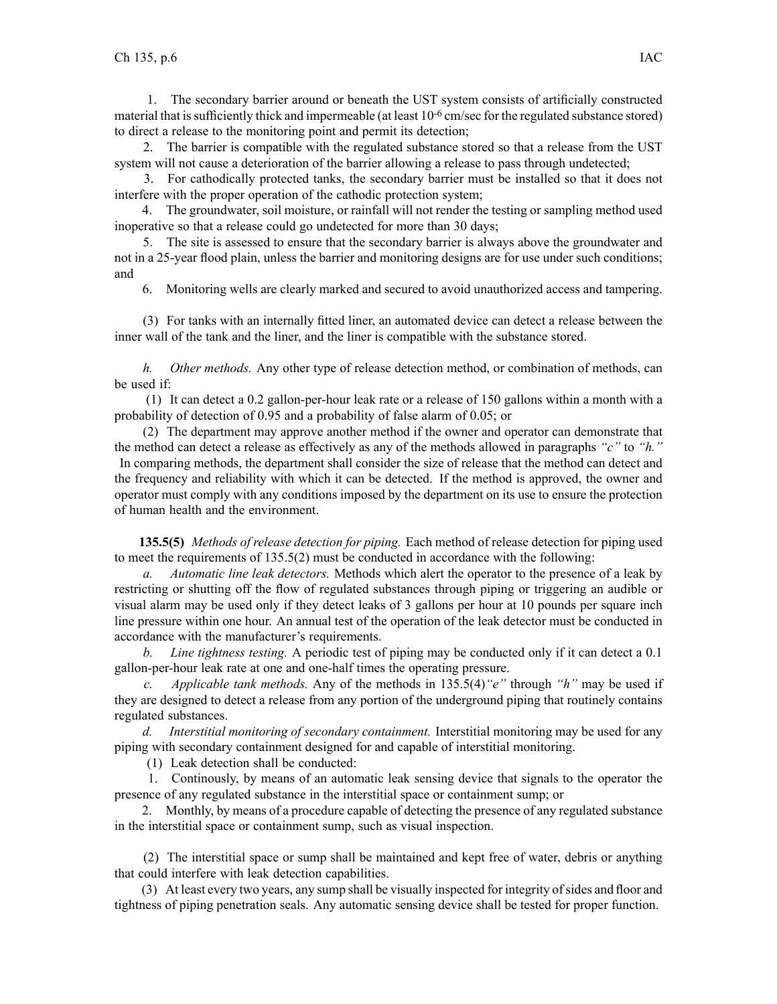1. The secondary barrier around or beneath the UST system consists of artificially constructed material that is sufficiently thick and impermeable (at least  $10^{-6}$  cm/sec for the regulated substance stored) to direct <sup>a</sup> release to the monitoring point and permit its detection;

2. The barrier is compatible with the regulated substance stored so that <sup>a</sup> release from the UST system will not cause <sup>a</sup> deterioration of the barrier allowing <sup>a</sup> release to pass through undetected;

3. For cathodically protected tanks, the secondary barrier must be installed so that it does not interfere with the proper operation of the cathodic protection system;

4. The groundwater, soil moisture, or rainfall will not render the testing or sampling method used inoperative so that <sup>a</sup> release could go undetected for more than 30 days;

5. The site is assessed to ensure that the secondary barrier is always above the groundwater and not in <sup>a</sup> 25-year flood plain, unless the barrier and monitoring designs are for use under such conditions; and

6. Monitoring wells are clearly marked and secured to avoid unauthorized access and tampering.

(3) For tanks with an internally fitted liner, an automated device can detect <sup>a</sup> release between the inner wall of the tank and the liner, and the liner is compatible with the substance stored.

*h. Other methods.* Any other type of release detection method, or combination of methods, can be used if:

(1) It can detect <sup>a</sup> 0.2 gallon-per-hour leak rate or <sup>a</sup> release of 150 gallons within <sup>a</sup> month with <sup>a</sup> probability of detection of 0.95 and <sup>a</sup> probability of false alarm of 0.05; or

(2) The department may approve another method if the owner and operator can demonstrate that the method can detect <sup>a</sup> release as effectively as any of the methods allowed in paragraphs *"c"* to *"h."* In comparing methods, the department shall consider the size of release that the method can detect and the frequency and reliability with which it can be detected. If the method is approved, the owner and operator must comply with any conditions imposed by the department on its use to ensure the protection of human health and the environment.

**135.5(5)** *Methods of release detection for piping.* Each method of release detection for piping used to meet the requirements of 135.5(2) must be conducted in accordance with the following:

*a. Automatic line leak detectors.* Methods which alert the operator to the presence of <sup>a</sup> leak by restricting or shutting off the flow of regulated substances through piping or triggering an audible or visual alarm may be used only if they detect leaks of 3 gallons per hour at 10 pounds per square inch line pressure within one hour. An annual test of the operation of the leak detector must be conducted in accordance with the manufacturer's requirements.

*b. Line tightness testing.* A periodic test of piping may be conducted only if it can detect <sup>a</sup> 0.1 gallon-per-hour leak rate at one and one-half times the operating pressure.

*c. Applicable tank methods.* Any of the methods in 135.5(4)*"e"* through *"h"* may be used if they are designed to detect <sup>a</sup> release from any portion of the underground piping that routinely contains regulated substances.

*d. Interstitial monitoring of secondary containment.* Interstitial monitoring may be used for any piping with secondary containment designed for and capable of interstitial monitoring.

(1) Leak detection shall be conducted:

1. Continously, by means of an automatic leak sensing device that signals to the operator the presence of any regulated substance in the interstitial space or containment sump; or

2. Monthly, by means of <sup>a</sup> procedure capable of detecting the presence of any regulated substance in the interstitial space or containment sump, such as visual inspection.

(2) The interstitial space or sump shall be maintained and kept free of water, debris or anything that could interfere with leak detection capabilities.

(3) At least every two years, any sump shall be visually inspected for integrity ofsides and floor and tightness of piping penetration seals. Any automatic sensing device shall be tested for proper function.